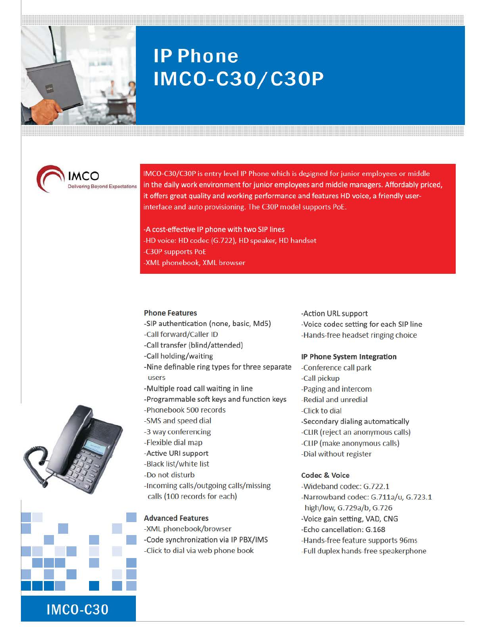

# **IP Phone IMCO-C30/C30P**



IMCO-C30/C30P is entry level IP Phone which is designed for junior employees or middle in the daily work environment for junior employees and middle managers. Affordably priced, it offers great quality and working performance and features HD voice, a friendly userinterface and auto provisioning. The C30P model supports PoE.

-A cost-effective IP phone with two SIP lines -HD voice: HD codec (G.722), HD speaker, HD handset -C30P supports PoE -XML phonebook, XML browser

### Phone Features

- -SIP authentication (none, basic, MdS)
- -Call forward/Caller ID
- -Call transfer {blind/attended)
- -Call holding/waiting
- -Nine definable ring types for three separate users
- -Multiple road call waiting in line
- -Programmable soft keys and function keys
- -Phonebook 500 records
- -SMS and speed dial
- -3 way conferencing
- -Flexible dial map
- -Active URI support
- -Black list/white list
- -Do not disturb
- -Incoming calls/outgoing calls/missing calls (100 records for each)

## Advanced Features

-XML phonebook/browser -Code synchronization via IP PBX/IMS -Click to dial via web phone book

## -Action URL support -Voice codec setting for each SIP line -Hands-free headset ringing choice

#### IP Phone System Integration

-Conference call park -Call pickup -Paging and intercom -Redial and unredial -Click to dial -Secondary dialing automatically -CUR (reject an anonymous calls) -CLIP (make anonymous calls) -Dial without register

## Codec & Voice

-Wideband codec: G.722.1 -Narrowband codec: G.711a/u, G.723.1 high/low, G.729a/b, G.726 -Voice gain setting, VAD, CNG -Echo cancellation: G.l68 -Hands-free feature supports 96ms -Full duplex hands-free speakerphone